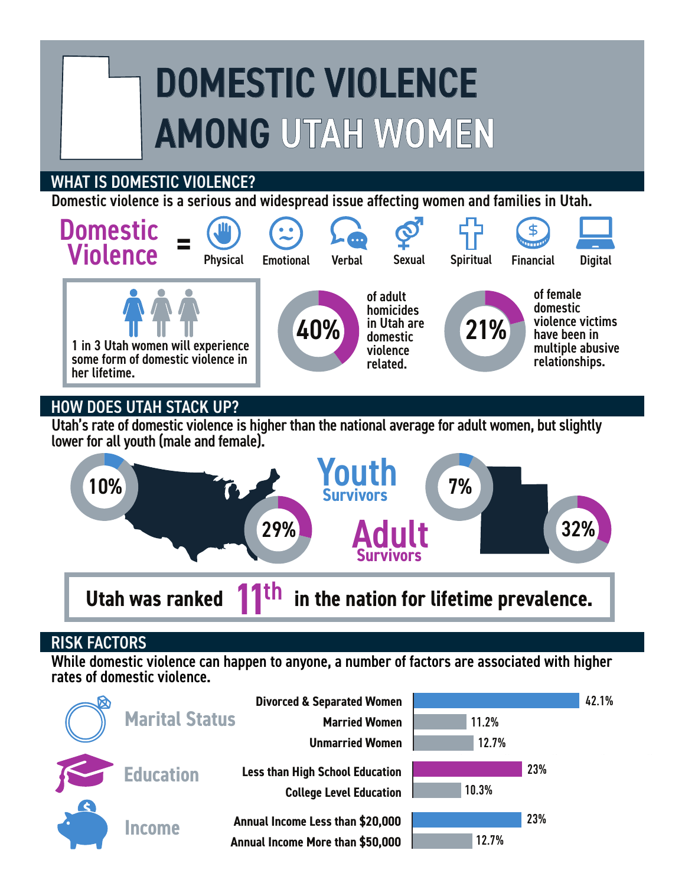# DOMESTIC VIOLENCE AMONG UTAH WOMEN

### WHAT IS DOMESTIC VIOLENCE?

Domestic violence is a serious and widespread issue affecting women and families in Utah.



# HOW DOES UTAH STACK UP?

Utah's rate of domestic violence is higher than the national average for adult women, but slightly lower for all youth (male and female).



#### RISK FACTORS

While domestic violence can happen to anyone, a number of factors are associated with higher rates of domestic violence.